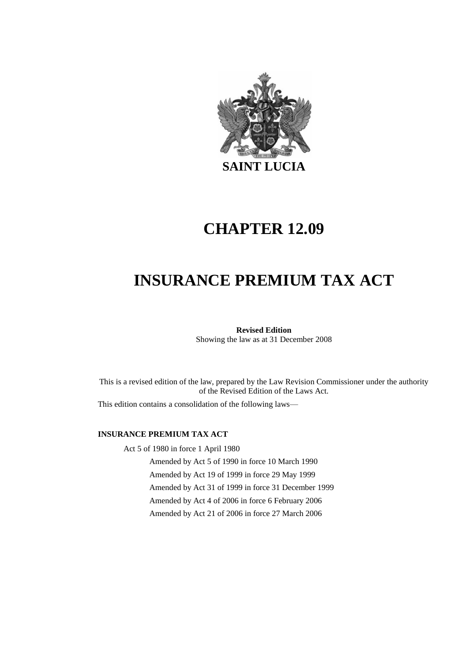

# **CHAPTER 12.09**

# **INSURANCE PREMIUM TAX ACT**

**Revised Edition** Showing the law as at 31 December 2008

This is a revised edition of the law, prepared by the Law Revision Commissioner under the authority of the Revised Edition of the Laws Act.

This edition contains a consolidation of the following laws—

#### **INSURANCE PREMIUM TAX ACT**

Act 5 of 1980 in force 1 April 1980

Amended by Act 5 of 1990 in force 10 March 1990 Amended by Act 19 of 1999 in force 29 May 1999 Amended by Act 31 of 1999 in force 31 December 1999 Amended by Act 4 of 2006 in force 6 February 2006 Amended by Act 21 of 2006 in force 27 March 2006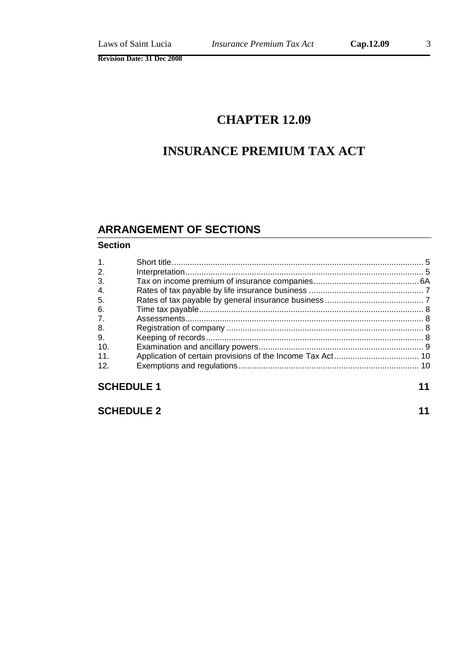# **CHAPTER 12.09**

# **INSURANCE PREMIUM TAX ACT**

## **ARRANGEMENT OF SECTIONS**

#### **Section**

| 1 <sub>1</sub> |  |  |  |
|----------------|--|--|--|
| 2.             |  |  |  |
| 3.             |  |  |  |
| 4.             |  |  |  |
| 5.             |  |  |  |
| 6.             |  |  |  |
| 7 <sub>1</sub> |  |  |  |
| 8.             |  |  |  |
| 9.             |  |  |  |
| 10.            |  |  |  |
| 11.            |  |  |  |
| 12.            |  |  |  |
|                |  |  |  |
|                |  |  |  |

## **SCHEDULE 1 11**

**SCHEDULE 2 11**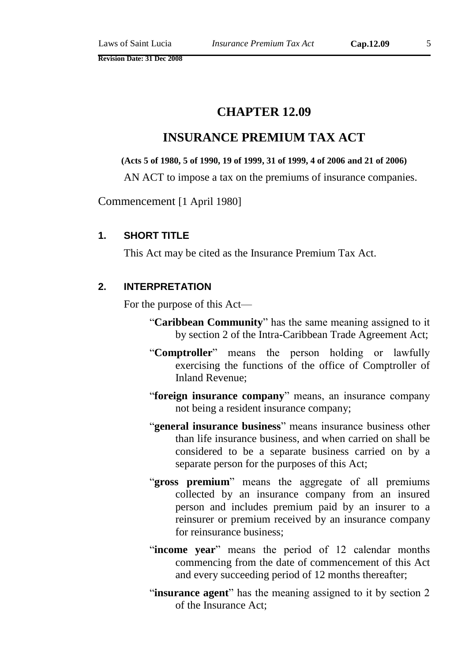## **CHAPTER 12.09**

## **INSURANCE PREMIUM TAX ACT**

#### **(Acts 5 of 1980, 5 of 1990, 19 of 1999, 31 of 1999, 4 of 2006 and 21 of 2006)**

AN ACT to impose a tax on the premiums of insurance companies.

Commencement [1 April 1980]

#### **1. SHORT TITLE**

This Act may be cited as the Insurance Premium Tax Act.

#### **2. INTERPRETATION**

For the purpose of this Act—

- "**Caribbean Community**" has the same meaning assigned to it by section 2 of the Intra-Caribbean Trade Agreement Act;
- "**Comptroller**" means the person holding or lawfully exercising the functions of the office of Comptroller of Inland Revenue;
- "**foreign insurance company**" means, an insurance company not being a resident insurance company;
- "**general insurance business**" means insurance business other than life insurance business, and when carried on shall be considered to be a separate business carried on by a separate person for the purposes of this Act;
- "gross premium" means the aggregate of all premiums collected by an insurance company from an insured person and includes premium paid by an insurer to a reinsurer or premium received by an insurance company for reinsurance business;
- "**income year**" means the period of 12 calendar months commencing from the date of commencement of this Act and every succeeding period of 12 months thereafter;
- "**insurance agent**" has the meaning assigned to it by section 2 of the Insurance Act;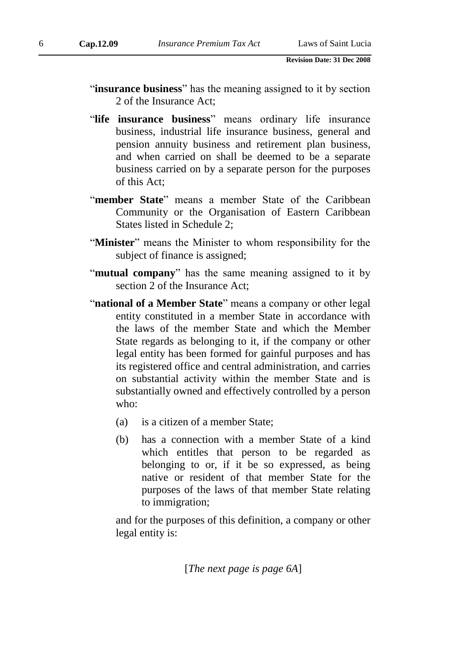- "**insurance business**" has the meaning assigned to it by section 2 of the Insurance Act;
- "**life insurance business**" means ordinary life insurance business, industrial life insurance business, general and pension annuity business and retirement plan business, and when carried on shall be deemed to be a separate business carried on by a separate person for the purposes of this Act;
- "**member State**" means a member State of the Caribbean Community or the Organisation of Eastern Caribbean States listed in Schedule 2;
- "**Minister**" means the Minister to whom responsibility for the subject of finance is assigned;
- "**mutual company**" has the same meaning assigned to it by section 2 of the Insurance Act;
- "**national of a Member State**" means a company or other legal entity constituted in a member State in accordance with the laws of the member State and which the Member State regards as belonging to it, if the company or other legal entity has been formed for gainful purposes and has its registered office and central administration, and carries on substantial activity within the member State and is substantially owned and effectively controlled by a person who:
	- (a) is a citizen of a member State;
	- (b) has a connection with a member State of a kind which entitles that person to be regarded as belonging to or, if it be so expressed, as being native or resident of that member State for the purposes of the laws of that member State relating to immigration;

and for the purposes of this definition, a company or other legal entity is:

[*The next page is page 6A*]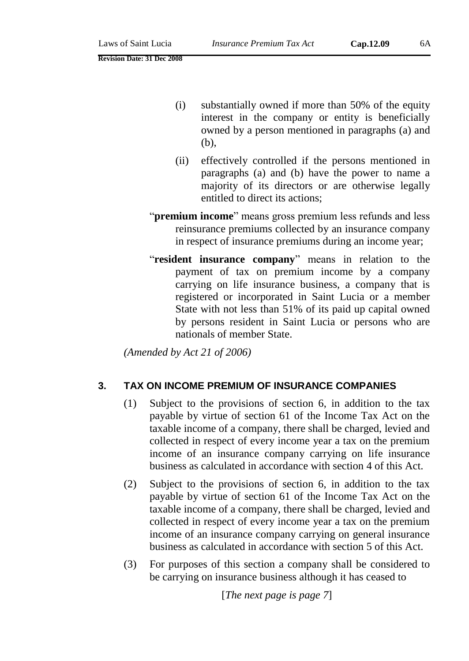- (i) substantially owned if more than 50% of the equity interest in the company or entity is beneficially owned by a person mentioned in paragraphs (a) and (b),
- (ii) effectively controlled if the persons mentioned in paragraphs (a) and (b) have the power to name a majority of its directors or are otherwise legally entitled to direct its actions;
- "**premium income**" means gross premium less refunds and less reinsurance premiums collected by an insurance company in respect of insurance premiums during an income year;
- "**resident insurance company**" means in relation to the payment of tax on premium income by a company carrying on life insurance business, a company that is registered or incorporated in Saint Lucia or a member State with not less than 51% of its paid up capital owned by persons resident in Saint Lucia or persons who are nationals of member State.

*(Amended by Act 21 of 2006)*

#### **3. TAX ON INCOME PREMIUM OF INSURANCE COMPANIES**

- (1) Subject to the provisions of section 6, in addition to the tax payable by virtue of section 61 of the Income Tax Act on the taxable income of a company, there shall be charged, levied and collected in respect of every income year a tax on the premium income of an insurance company carrying on life insurance business as calculated in accordance with section 4 of this Act.
- (2) Subject to the provisions of section 6, in addition to the tax payable by virtue of section 61 of the Income Tax Act on the taxable income of a company, there shall be charged, levied and collected in respect of every income year a tax on the premium income of an insurance company carrying on general insurance business as calculated in accordance with section 5 of this Act.
- (3) For purposes of this section a company shall be considered to be carrying on insurance business although it has ceased to

[*The next page is page 7*]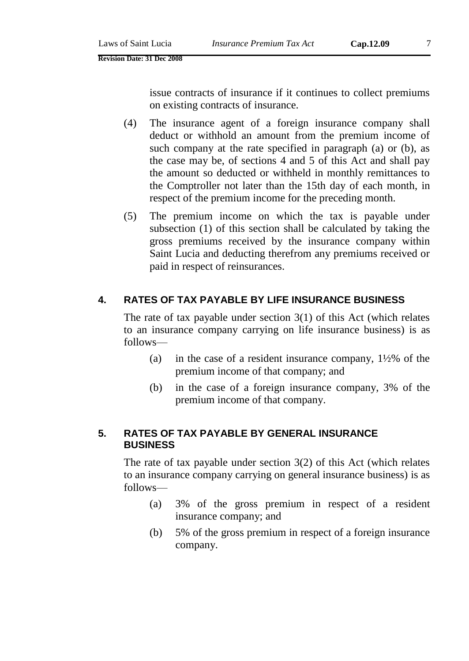issue contracts of insurance if it continues to collect premiums on existing contracts of insurance.

- (4) The insurance agent of a foreign insurance company shall deduct or withhold an amount from the premium income of such company at the rate specified in paragraph (a) or (b), as the case may be, of sections 4 and 5 of this Act and shall pay the amount so deducted or withheld in monthly remittances to the Comptroller not later than the 15th day of each month, in respect of the premium income for the preceding month.
- (5) The premium income on which the tax is payable under subsection (1) of this section shall be calculated by taking the gross premiums received by the insurance company within Saint Lucia and deducting therefrom any premiums received or paid in respect of reinsurances.

### **4. RATES OF TAX PAYABLE BY LIFE INSURANCE BUSINESS**

The rate of tax payable under section  $3(1)$  of this Act (which relates to an insurance company carrying on life insurance business) is as follows—

- (a) in the case of a resident insurance company, 1½% of the premium income of that company; and
- (b) in the case of a foreign insurance company, 3% of the premium income of that company.

#### **5. RATES OF TAX PAYABLE BY GENERAL INSURANCE BUSINESS**

The rate of tax payable under section  $3(2)$  of this Act (which relates to an insurance company carrying on general insurance business) is as follows—

- (a) 3% of the gross premium in respect of a resident insurance company; and
- (b) 5% of the gross premium in respect of a foreign insurance company.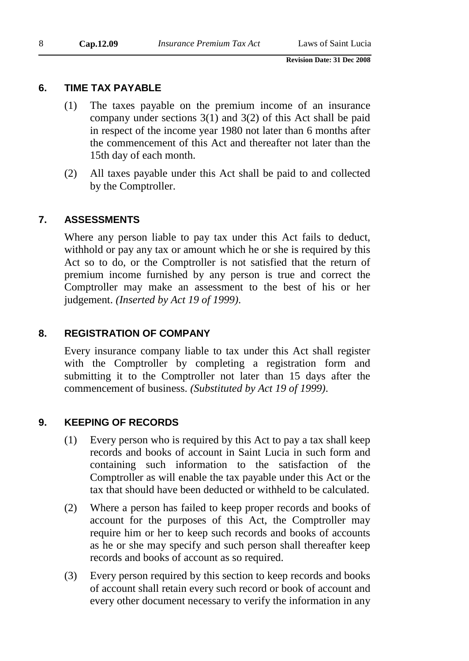#### **6. TIME TAX PAYABLE**

- (1) The taxes payable on the premium income of an insurance company under sections 3(1) and 3(2) of this Act shall be paid in respect of the income year 1980 not later than 6 months after the commencement of this Act and thereafter not later than the 15th day of each month.
- (2) All taxes payable under this Act shall be paid to and collected by the Comptroller.

#### **7. ASSESSMENTS**

Where any person liable to pay tax under this Act fails to deduct, withhold or pay any tax or amount which he or she is required by this Act so to do, or the Comptroller is not satisfied that the return of premium income furnished by any person is true and correct the Comptroller may make an assessment to the best of his or her judgement. *(Inserted by Act 19 of 1999)*.

#### **8. REGISTRATION OF COMPANY**

Every insurance company liable to tax under this Act shall register with the Comptroller by completing a registration form and submitting it to the Comptroller not later than 15 days after the commencement of business. *(Substituted by Act 19 of 1999)*.

#### **9. KEEPING OF RECORDS**

- (1) Every person who is required by this Act to pay a tax shall keep records and books of account in Saint Lucia in such form and containing such information to the satisfaction of the Comptroller as will enable the tax payable under this Act or the tax that should have been deducted or withheld to be calculated.
- (2) Where a person has failed to keep proper records and books of account for the purposes of this Act, the Comptroller may require him or her to keep such records and books of accounts as he or she may specify and such person shall thereafter keep records and books of account as so required.
- (3) Every person required by this section to keep records and books of account shall retain every such record or book of account and every other document necessary to verify the information in any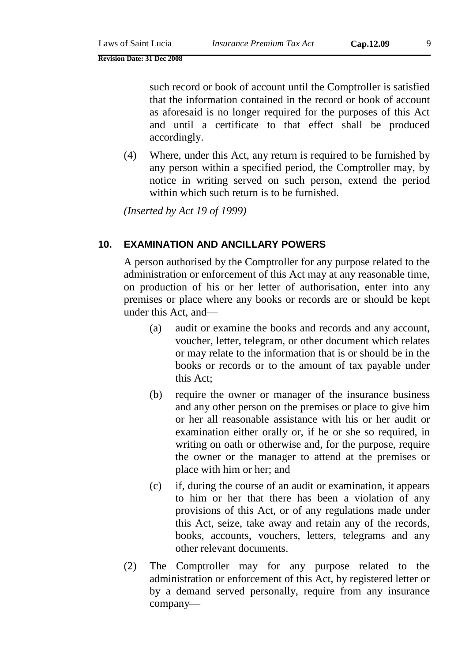such record or book of account until the Comptroller is satisfied that the information contained in the record or book of account as aforesaid is no longer required for the purposes of this Act and until a certificate to that effect shall be produced accordingly.

(4) Where, under this Act, any return is required to be furnished by any person within a specified period, the Comptroller may, by notice in writing served on such person, extend the period within which such return is to be furnished.

*(Inserted by Act 19 of 1999)*

#### **10. EXAMINATION AND ANCILLARY POWERS**

A person authorised by the Comptroller for any purpose related to the administration or enforcement of this Act may at any reasonable time, on production of his or her letter of authorisation, enter into any premises or place where any books or records are or should be kept under this Act, and—

- (a) audit or examine the books and records and any account, voucher, letter, telegram, or other document which relates or may relate to the information that is or should be in the books or records or to the amount of tax payable under this Act;
- (b) require the owner or manager of the insurance business and any other person on the premises or place to give him or her all reasonable assistance with his or her audit or examination either orally or, if he or she so required, in writing on oath or otherwise and, for the purpose, require the owner or the manager to attend at the premises or place with him or her; and
- (c) if, during the course of an audit or examination, it appears to him or her that there has been a violation of any provisions of this Act, or of any regulations made under this Act, seize, take away and retain any of the records, books, accounts, vouchers, letters, telegrams and any other relevant documents.
- (2) The Comptroller may for any purpose related to the administration or enforcement of this Act, by registered letter or by a demand served personally, require from any insurance company—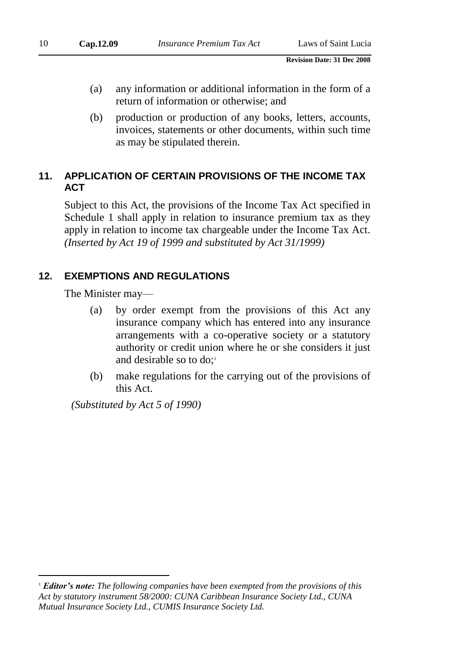- (a) any information or additional information in the form of a return of information or otherwise; and
- (b) production or production of any books, letters, accounts, invoices, statements or other documents, within such time as may be stipulated therein.

### **11. APPLICATION OF CERTAIN PROVISIONS OF THE INCOME TAX ACT**

Subject to this Act, the provisions of the Income Tax Act specified in Schedule 1 shall apply in relation to insurance premium tax as they apply in relation to income tax chargeable under the Income Tax Act. *(Inserted by Act 19 of 1999 and substituted by Act 31/1999)*

### **12. EXEMPTIONS AND REGULATIONS**

The Minister may—

 $\overline{a}$ 

- (a) by order exempt from the provisions of this Act any insurance company which has entered into any insurance arrangements with a co-operative society or a statutory authority or credit union where he or she considers it just and desirable so to  $do$ ;
- (b) make regulations for the carrying out of the provisions of this Act.

*(Substituted by Act 5 of 1990)*

<sup>1</sup> *Editor's note: The following companies have been exempted from the provisions of this Act by statutory instrument 58/2000: CUNA Caribbean Insurance Society Ltd., CUNA Mutual Insurance Society Ltd., CUMIS Insurance Society Ltd.*